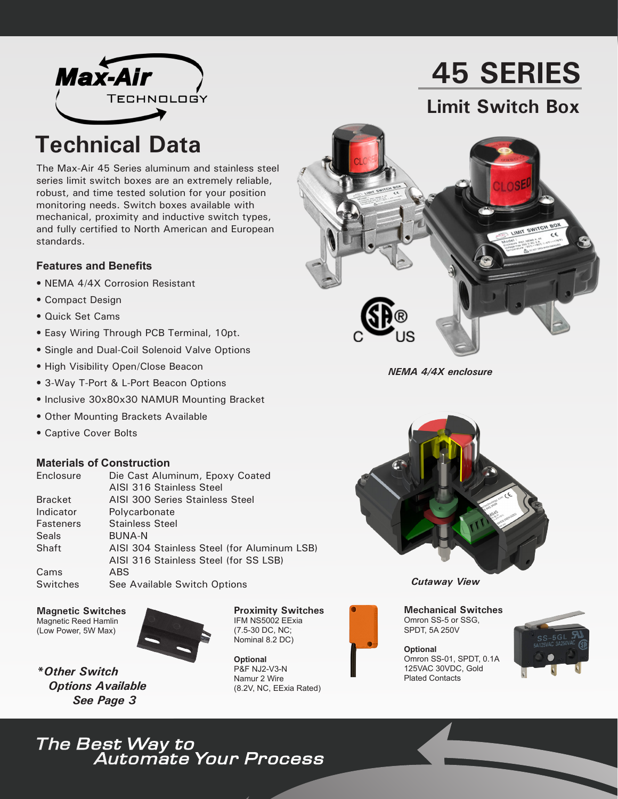

# **45 SERIES**

## **Limit Switch Box**

## **Technical Data**

The Max-Air 45 Series aluminum and stainless steel series limit switch boxes are an extremely reliable, robust, and time tested solution for your position monitoring needs. Switch boxes available with mechanical, proximity and inductive switch types, and fully certified to North American and European standards.

#### **Features and Benefits**

- NEMA 4/4X Corrosion Resistant
- Compact Design
- Quick Set Cams
- Easy Wiring Through PCB Terminal, 10pt.
- Single and Dual-Coil Solenoid Valve Options
- High Visibility Open/Close Beacon
- 3-Way T-Port & L-Port Beacon Options
- Inclusive 30x80x30 NAMUR Mounting Bracket
- Other Mounting Brackets Available
- Captive Cover Bolts

#### **Materials of Construction**

| Enclosure        | Die Cast Aluminum, Epoxy Coated             |  |  |
|------------------|---------------------------------------------|--|--|
|                  | AISI 316 Stainless Steel                    |  |  |
| <b>Bracket</b>   | AISI 300 Series Stainless Steel             |  |  |
| Indicator        | Polycarbonate                               |  |  |
| <b>Fasteners</b> | <b>Stainless Steel</b>                      |  |  |
| Seals            | <b>BUNA-N</b>                               |  |  |
| Shaft            | AISI 304 Stainless Steel (for Aluminum LSB) |  |  |
|                  | AISI 316 Stainless Steel (for SS LSB)       |  |  |
| Cams             | ABS                                         |  |  |
| Switches         | See Available Switch Options                |  |  |
|                  |                                             |  |  |

**Magnetic Switches** Magnetic Reed Hamlin (Low Power, 5W Max)

Plated Contacts *\*Other Switch Options Available See Page 3*



**Optional** P&F NJ2-V3-N Namur 2 Wire (8.2V, NC, EExia Rated)

1



*NEMA 4/4X enclosure*



*Cutaway View*



**Mechanical Switches** Omron SS-5 or SSG, SPDT, 5A 250V

**Optional** Omron SS-01, SPDT, 0.1A 125VAC 30VDC, Gold<br>Plated Contacts



*The Best Way to Automate Your Process*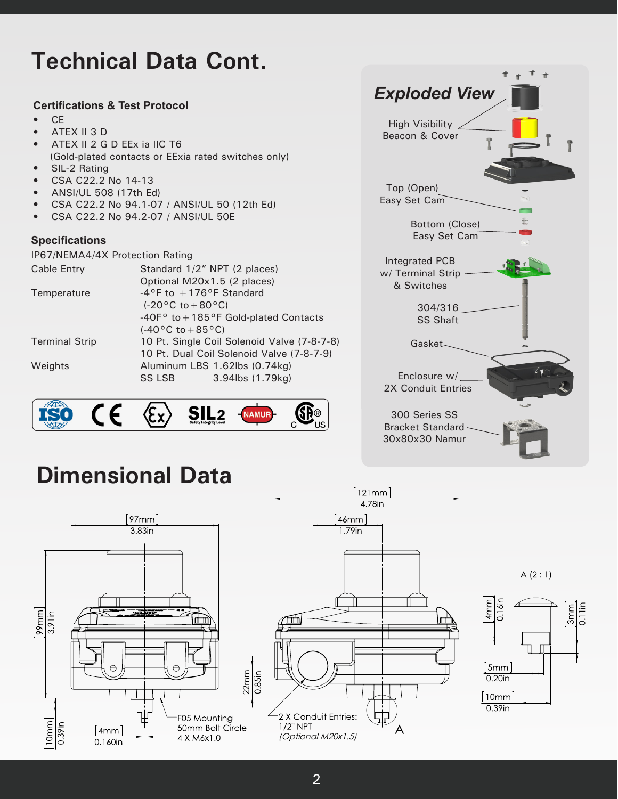#### **Technical Data Cont.** *Exploded View***Certifications & Test Protocol** • CE High Visibility • ATEX II 3 D Beacon & Cover • ATEX II 2 G D EEx ia IIC T6 (Gold-plated contacts or EExia rated switches only) SIL-2 Rating • CSA C22.2 No 14-13 Top (Open) • ANSI/UL 508 (17th Ed) Easy Set Cam • CSA C22.2 No 94.1-07 / ANSI/UL 50 (12th Ed) • CSA C22.2 No 94.2-07 / ANSI/UL 50E S Bottom (Close) Easy Set Cam **Specifications** IP67/NEMA4/4X Protection Rating Integrated PCB Cable Entry Standard 1/2" NPT (2 places) w/ Terminal Strip Optional M20x1.5 (2 places) & Switches Temperature  $-4^{\circ}F$  to  $+176^{\circ}F$  Standard (-20°C to+80°C) 304/316 -40F° to+185°F Gold-plated Contacts SS Shaft (-40°C to+85°C) Terminal Strip 10 Pt. Single Coil Solenoid Valve (7-8-7-8) Gasket 10 Pt. Dual Coil Solenoid Valve (7-8-7-9)

Weights **Aluminum LBS 1.62lbs (0.74kg)** 



SS LSB 3.94lbs (1.79kg)



**Dimensional Data**

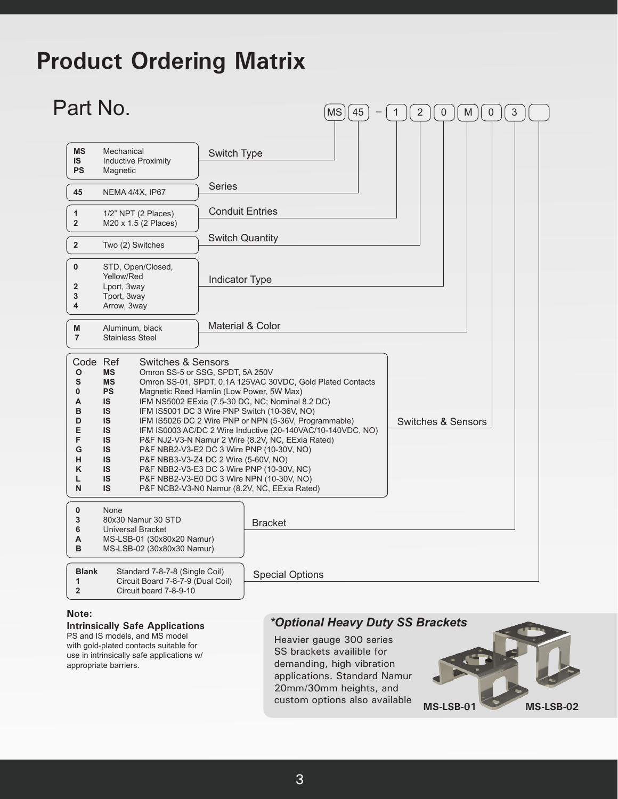## **Product Ordering Matrix**

| Part No.                                                                                        |                                                                                                                                                                                                        | <b>MS</b><br>45<br>M<br>3<br>$\overline{2}$<br>0<br>0                                                                                                                                                                                                                                                                                                                                                                                                                                                                                                                                                                                                                                       |
|-------------------------------------------------------------------------------------------------|--------------------------------------------------------------------------------------------------------------------------------------------------------------------------------------------------------|---------------------------------------------------------------------------------------------------------------------------------------------------------------------------------------------------------------------------------------------------------------------------------------------------------------------------------------------------------------------------------------------------------------------------------------------------------------------------------------------------------------------------------------------------------------------------------------------------------------------------------------------------------------------------------------------|
| <b>MS</b><br>IS<br><b>PS</b>                                                                    | Mechanical<br><b>Inductive Proximity</b><br>Magnetic                                                                                                                                                   | Switch Type                                                                                                                                                                                                                                                                                                                                                                                                                                                                                                                                                                                                                                                                                 |
| 45                                                                                              | <b>NEMA 4/4X, IP67</b>                                                                                                                                                                                 | Series                                                                                                                                                                                                                                                                                                                                                                                                                                                                                                                                                                                                                                                                                      |
| $\mathbf{1}$<br>$\overline{2}$                                                                  | 1/2" NPT (2 Places)<br>M20 x 1.5 (2 Places)                                                                                                                                                            | <b>Conduit Entries</b>                                                                                                                                                                                                                                                                                                                                                                                                                                                                                                                                                                                                                                                                      |
| $\overline{2}$                                                                                  | Two (2) Switches                                                                                                                                                                                       | <b>Switch Quantity</b>                                                                                                                                                                                                                                                                                                                                                                                                                                                                                                                                                                                                                                                                      |
| $\mathbf{0}$<br>$\overline{2}$<br>3<br>4                                                        | STD, Open/Closed,<br>Yellow/Red<br>Lport, 3way<br>Tport, 3way<br>Arrow, 3way                                                                                                                           | Indicator Type                                                                                                                                                                                                                                                                                                                                                                                                                                                                                                                                                                                                                                                                              |
| M<br>$\overline{7}$                                                                             | Aluminum, black<br><b>Stainless Steel</b>                                                                                                                                                              | Material & Color                                                                                                                                                                                                                                                                                                                                                                                                                                                                                                                                                                                                                                                                            |
| Code Ref<br>O<br>S<br>$\mathbf{0}$<br>Α<br>B<br>D<br>E<br>F<br>G<br>н<br>K<br>L<br>$\mathsf{N}$ | <b>Switches &amp; Sensors</b><br><b>MS</b><br><b>MS</b><br><b>PS</b><br><b>IS</b><br><b>IS</b><br><b>IS</b><br><b>IS</b><br><b>IS</b><br><b>IS</b><br><b>IS</b><br><b>IS</b><br><b>IS</b><br><b>IS</b> | Omron SS-5 or SSG, SPDT, 5A 250V<br>Omron SS-01, SPDT, 0.1A 125VAC 30VDC, Gold Plated Contacts<br>Magnetic Reed Hamlin (Low Power, 5W Max)<br>IFM NS5002 EExia (7.5-30 DC, NC; Nominal 8.2 DC)<br>IFM IS5001 DC 3 Wire PNP Switch (10-36V, NO)<br>IFM IS5026 DC 2 Wire PNP or NPN (5-36V, Programmable)<br><b>Switches &amp; Sensors</b><br>IFM IS0003 AC/DC 2 Wire Inductive (20-140VAC/10-140VDC, NO)<br>P&F NJ2-V3-N Namur 2 Wire (8.2V, NC, EExia Rated)<br>P&F NBB2-V3-E2 DC 3 Wire PNP (10-30V, NO)<br>P&F NBB3-V3-Z4 DC 2 Wire (5-60V, NO)<br>P&F NBB2-V3-E3 DC 3 Wire PNP (10-30V, NC)<br>P&F NBB2-V3-E0 DC 3 Wire NPN (10-30V, NO)<br>P&F NCB2-V3-N0 Namur (8.2V, NC, EExia Rated) |
| $\mathbf{0}$<br>3<br>6<br>A<br>B                                                                | None<br>80x30 Namur 30 STD<br>Universal Bracket<br>MS-LSB-01 (30x80x20 Namur)<br>MS-LSB-02 (30x80x30 Namur)                                                                                            | <b>Bracket</b>                                                                                                                                                                                                                                                                                                                                                                                                                                                                                                                                                                                                                                                                              |
| <b>Blank</b><br>1<br>$\overline{2}$                                                             | Standard 7-8-7-8 (Single Coil)<br>Circuit Board 7-8-7-9 (Dual Coil)<br>Circuit board 7-8-9-10                                                                                                          | <b>Special Options</b>                                                                                                                                                                                                                                                                                                                                                                                                                                                                                                                                                                                                                                                                      |

#### **Note:**

#### **Intrinsically Safe Applications**

PS and IS models, and MS model with gold-plated contacts suitable for use in intrinsically safe applications w/ appropriate barriers.

#### *\*Optional Heavy Duty SS Brackets*

Heavier gauge 300 series SS brackets availible for demanding, high vibration applications. Standard Namur 20mm/30mm heights, and